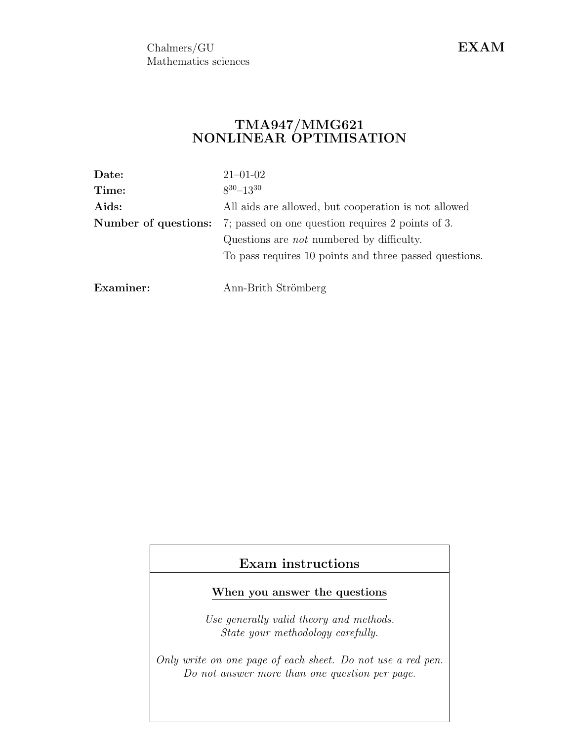Chalmers/GU Mathematics sciences EXAM

## $\mathrm{TMA947}/\mathrm{MMG621}$ NONLINEAR OPTIMISATION

| Date:                | $21 - 01 - 02$                                         |  |  |  |
|----------------------|--------------------------------------------------------|--|--|--|
| Time:                | $8^{30} - 13^{30}$                                     |  |  |  |
| Aids:                | All aids are allowed, but cooperation is not allowed   |  |  |  |
| Number of questions: | 7; passed on one question requires 2 points of 3.      |  |  |  |
|                      | Questions are <i>not</i> numbered by difficulty.       |  |  |  |
|                      | To pass requires 10 points and three passed questions. |  |  |  |
|                      |                                                        |  |  |  |
| Examiner:            | Ann-Brith Strömberg                                    |  |  |  |

# Exam instructions

## When you answer the questions

Use generally valid theory and methods. State your methodology carefully.

Only write on one page of each sheet. Do not use a red pen. Do not answer more than one question per page.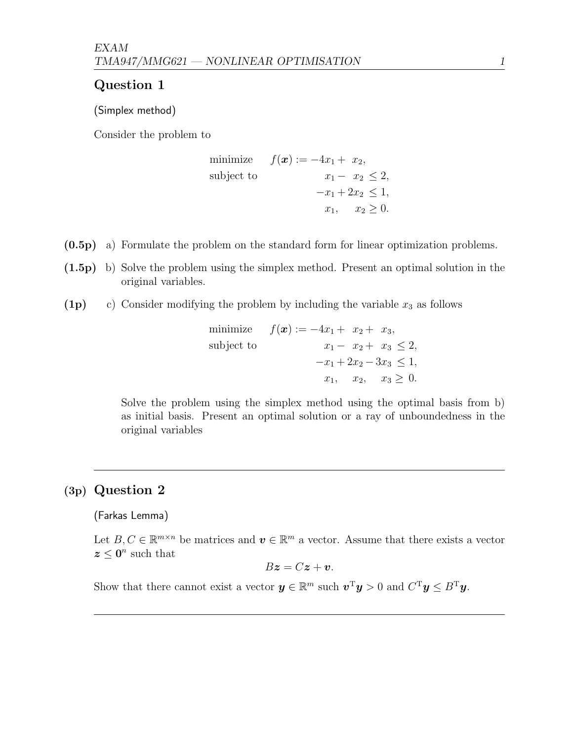## Question 1

(Simplex method)

Consider the problem to

minimize 
$$
f(\mathbf{x}) := -4x_1 + x_2
$$
,  
subject to  
 $x_1 - x_2 \le 2$ ,  
 $-x_1 + 2x_2 \le 1$ ,  
 $x_1, x_2 \ge 0$ .

- (0.5p) a) Formulate the problem on the standard form for linear optimization problems.
- (1.5p) b) Solve the problem using the simplex method. Present an optimal solution in the original variables.
- (1p) c) Consider modifying the problem by including the variable  $x_3$  as follows

minimize 
$$
f(\mathbf{x}) := -4x_1 + x_2 + x_3
$$
,  
\nsubject to  
\n $x_1 - x_2 + x_3 \le 2$ ,  
\n $-x_1 + 2x_2 - 3x_3 \le 1$ ,  
\n $x_1, x_2, x_3 \ge 0$ .

Solve the problem using the simplex method using the optimal basis from b) as initial basis. Present an optimal solution or a ray of unboundedness in the original variables

# (3p) Question 2

(Farkas Lemma)

Let  $B, C \in \mathbb{R}^{m \times n}$  be matrices and  $v \in \mathbb{R}^m$  a vector. Assume that there exists a vector  $z \leq 0^n$  such that

$$
B\boldsymbol{z}=C\boldsymbol{z}+\boldsymbol{v}.
$$

Show that there cannot exist a vector  $y \in \mathbb{R}^m$  such  $v^T y > 0$  and  $C^T y \leq B^T y$ .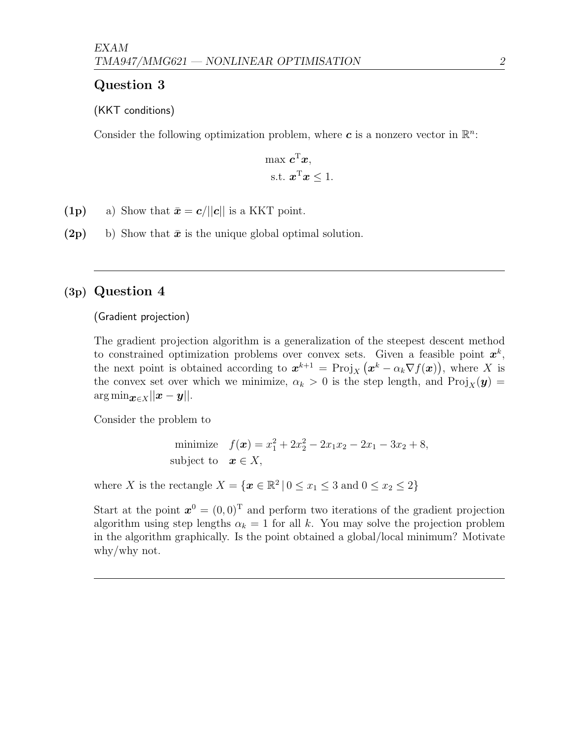## Question 3

### (KKT conditions)

Consider the following optimization problem, where  $\boldsymbol{c}$  is a nonzero vector in  $\mathbb{R}^n$ .

$$
\max \mathbf{c}^{\mathrm{T}} \mathbf{x},
$$
  
s.t. 
$$
\mathbf{x}^{\mathrm{T}} \mathbf{x} \leq 1.
$$

- (1p) a) Show that  $\bar{\mathbf{x}} = c/||c||$  is a KKT point.
- (2p) b) Show that  $\bar{x}$  is the unique global optimal solution.

# (3p) Question 4

(Gradient projection)

The gradient projection algorithm is a generalization of the steepest descent method to constrained optimization problems over convex sets. Given a feasible point  $x^k$ , the next point is obtained according to  $x^{k+1} = \text{Proj}_X (x^k - \alpha_k \nabla f(x))$ , where X is the convex set over which we minimize,  $\alpha_k > 0$  is the step length, and  $\text{Proj}_X(\mathbf{y}) =$  $\arg \min_{\boldsymbol{x} \in X} ||\boldsymbol{x} - \boldsymbol{y}||.$ 

Consider the problem to

minimize 
$$
f(\mathbf{x}) = x_1^2 + 2x_2^2 - 2x_1x_2 - 2x_1 - 3x_2 + 8
$$
,  
subject to  $\mathbf{x} \in X$ ,

where X is the rectangle  $X = \{x \in \mathbb{R}^2 \mid 0 \le x_1 \le 3 \text{ and } 0 \le x_2 \le 2\}$ 

Start at the point  $x^0 = (0,0)^T$  and perform two iterations of the gradient projection algorithm using step lengths  $\alpha_k = 1$  for all k. You may solve the projection problem in the algorithm graphically. Is the point obtained a global/local minimum? Motivate why/why not.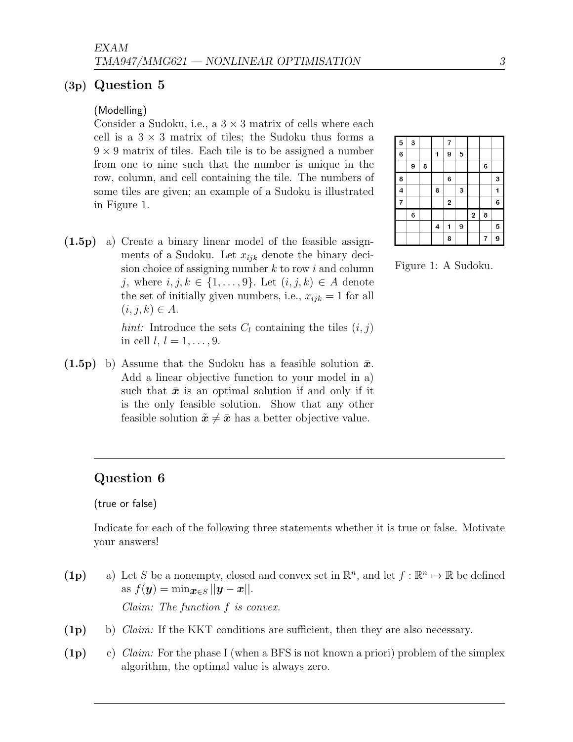### (3p) Question 5

#### (Modelling)

Consider a Sudoku, i.e., a  $3 \times 3$  matrix of cells where each cell is a  $3 \times 3$  matrix of tiles; the Sudoku thus forms a  $9 \times 9$  matrix of tiles. Each tile is to be assigned a number from one to nine such that the number is unique in the row, column, and cell containing the tile. The numbers of some tiles are given; an example of a Sudoku is illustrated in Figure 1.

| 5              | 3 |   |                         | 7                       |   |                         |   |   |
|----------------|---|---|-------------------------|-------------------------|---|-------------------------|---|---|
| 6              |   |   | 1                       | 9                       | 5 |                         |   |   |
|                | 9 | 8 |                         |                         |   |                         | 6 |   |
| 8              |   |   |                         | 6                       |   |                         |   | 3 |
| 4              |   |   | 8                       |                         | 3 |                         |   | 1 |
| $\overline{7}$ |   |   |                         | $\overline{\mathbf{c}}$ |   |                         |   | 6 |
|                | 6 |   |                         |                         |   | $\overline{\mathbf{c}}$ | 8 |   |
|                |   |   | $\overline{\mathbf{4}}$ | 1                       | 9 |                         |   | 5 |
|                |   |   |                         | 8                       |   |                         | 7 | 9 |

- Figure 1: A Sudoku.
- (1.5p) a) Create a binary linear model of the feasible assignments of a Sudoku. Let  $x_{ijk}$  denote the binary decision choice of assigning number  $k$  to row i and column j, where  $i, j, k \in \{1, \ldots, 9\}$ . Let  $(i, j, k) \in A$  denote the set of initially given numbers, i.e.,  $x_{ijk} = 1$  for all  $(i, j, k) \in A$ .

hint: Introduce the sets  $C_l$  containing the tiles  $(i, j)$ in cell  $l, l = 1, \ldots, 9$ .

 $(1.5p)$  b) Assume that the Sudoku has a feasible solution  $\bar{x}$ . Add a linear objective function to your model in a) such that  $\bar{x}$  is an optimal solution if and only if it is the only feasible solution. Show that any other feasible solution  $\tilde{x} \neq \bar{x}$  has a better objective value.

# Question 6

#### (true or false)

Indicate for each of the following three statements whether it is true or false. Motivate your answers!

- (1p) a) Let S be a nonempty, closed and convex set in  $\mathbb{R}^n$ , and let  $f : \mathbb{R}^n \mapsto \mathbb{R}$  be defined as  $f(\mathbf{y}) = \min_{\mathbf{x} \in S} ||\mathbf{y} - \mathbf{x}||.$ Claim: The function f is convex.
- (1p) b) Claim: If the KKT conditions are sufficient, then they are also necessary.
- (1p) c) Claim: For the phase I (when a BFS is not known a priori) problem of the simplex algorithm, the optimal value is always zero.